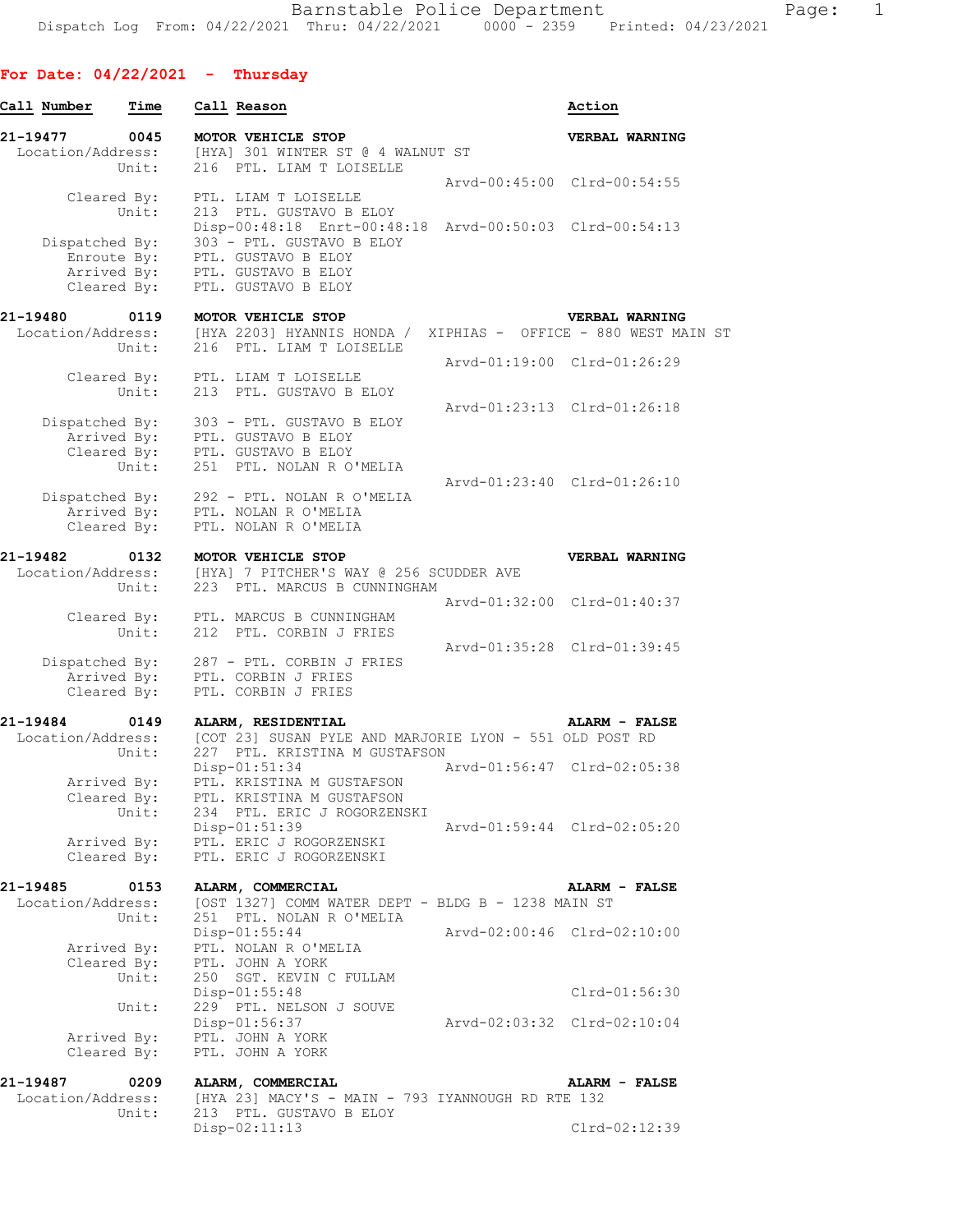## **For Date: 04/22/2021 - Thursday**

| Call Number                   | Time                                      | Call Reason                                                                                | Action                      |
|-------------------------------|-------------------------------------------|--------------------------------------------------------------------------------------------|-----------------------------|
| 21-19477<br>Location/Address: | 0045<br>Unit:                             | MOTOR VEHICLE STOP<br>[HYA] 301 WINTER ST @ 4 WALNUT ST<br>216 PTL. LIAM T LOISELLE        | VERBAL WARNING              |
|                               | Cleared By:<br>Unit:                      | PTL. LIAM T LOISELLE<br>213 PTL. GUSTAVO B ELOY                                            | Arvd-00:45:00 Clrd-00:54:55 |
| Dispatched By:                |                                           | Disp-00:48:18 Enrt-00:48:18 Arvd-00:50:03 Clrd-00:54:13<br>303 - PTL. GUSTAVO B ELOY       |                             |
|                               | Enroute By:<br>Arrived By:<br>Cleared By: | PTL. GUSTAVO B ELOY<br>PTL. GUSTAVO D DDU.<br>PTL. GUSTAVO B ELOY<br>PTL. GUSTAVO B ELOY   |                             |
| 21-19480                      | 0119                                      | MOTOR VEHICLE STOP                                                                         | VERBAL WARNING              |
| Location/Address:             | Unit:                                     | [HYA 2203] HYANNIS HONDA / XIPHIAS - OFFICE - 880 WEST MAIN ST<br>216 PTL. LIAM T LOISELLE |                             |
|                               | Cleared By:                               | PTL. LIAM T LOISELLE                                                                       | Arvd-01:19:00 Clrd-01:26:29 |
|                               | Unit:                                     | 213 PTL. GUSTAVO B ELOY                                                                    |                             |
|                               |                                           | 303 - PTL. GUSTAVO B ELOY                                                                  | Arvd-01:23:13 Clrd-01:26:18 |
| Dispatched By:                | Arrived By:                               | PTL. GUSTAVO B ELOY                                                                        |                             |
|                               | Cleared $\overline{By}$ :<br>Unit:        | PTL. GUSTAVO B ELOY                                                                        |                             |
|                               | Unit:                                     | 251 PTL. NOLAN R O'MELIA                                                                   |                             |
| Dispatched By:                |                                           | 292 - PTL. NOLAN R O'MELIA                                                                 | Arvd-01:23:40 Clrd-01:26:10 |
|                               |                                           | Arrived By: PTL. NOLAN R O'MELIA                                                           |                             |
|                               | Cleared By:                               | PTL. NOLAN R O'MELIA                                                                       |                             |
| 21-19482                      | 0132                                      | MOTOR VEHICLE STOP                                                                         | VERBAL WARNING              |
| Location/Address:             |                                           | [HYA] 7 PITCHER'S WAY @ 256 SCUDDER AVE                                                    |                             |
|                               | Unit:                                     | 223 PTL. MARCUS B CUNNINGHAM                                                               |                             |
|                               | Cleared By:                               | PTL. MARCUS B CUNNINGHAM                                                                   | Arvd-01:32:00 Clrd-01:40:37 |
|                               | Unit:                                     | 212 PTL. CORBIN J FRIES                                                                    |                             |
|                               |                                           |                                                                                            | Arvd-01:35:28 Clrd-01:39:45 |
| Dispatched By:                | Arrived By:                               | 287 - PTL. CORBIN J FRIES<br>PTL. CORBIN J FRIES                                           |                             |
|                               | Cleared By:                               | PTL. CORBIN J FRIES                                                                        |                             |
| 21-19484                      |                                           |                                                                                            |                             |
| Location/Address:             | 0149                                      | ALARM, RESIDENTIAL<br>[COT 23] SUSAN PYLE AND MARJORIE LYON - 551 OLD POST RD              | ALARM - FALSE               |
|                               | Unit:                                     | 227 PTL. KRISTINA M GUSTAFSON                                                              |                             |
|                               |                                           | $Disp-01:51:34$                                                                            | Arvd-01:56:47 Clrd-02:05:38 |
|                               | Arrived By:<br>Cleared By:<br>Unit:       | PTL. KRISTINA M GUSTAFSON<br>PTL. KRISTINA M GUSTAFSON<br>234 PTL. ERIC J ROGORZENSKI      |                             |
|                               |                                           | Disp-01:51:39                                                                              | Arvd-01:59:44 Clrd-02:05:20 |
|                               | Arrived By:<br>Cleared By:                | PTL. ERIC J ROGORZENSKI<br>PTL. ERIC J ROGORZENSKI                                         |                             |
|                               |                                           |                                                                                            |                             |
| 21-19485                      | 0153                                      | ALARM, COMMERCIAL                                                                          | ALARM - FALSE               |
| Location/Address:             | Unit:                                     | [OST 1327] COMM WATER DEPT - BLDG B - 1238 MAIN ST<br>251 PTL. NOLAN R O'MELIA             |                             |
|                               |                                           | $Disp-01:55:44$                                                                            | Arvd-02:00:46 Clrd-02:10:00 |
|                               | Arrived By:<br>Cleared By:                | PTL. NOLAN R O'MELIA<br>PTL. JOHN A YORK                                                   |                             |
|                               | Unit:                                     | 250 SGT. KEVIN C FULLAM                                                                    |                             |
|                               |                                           | Disp-01:55:48                                                                              | $Clrd-01:56:30$             |
|                               | Unit:                                     | 229 PTL. NELSON J SOUVE                                                                    |                             |
|                               | Arrived By:                               | Disp-01:56:37<br>PTL. JOHN A YORK                                                          | Arvd-02:03:32 Clrd-02:10:04 |
|                               | Cleared By:                               | PTL. JOHN A YORK                                                                           |                             |
| 21-19487                      | 0209                                      | ALARM, COMMERCIAL                                                                          | ALARM - FALSE               |
| Location/Address:             |                                           | [HYA 23] MACY'S - MAIN - 793 IYANNOUGH RD RTE 132                                          |                             |
|                               | Unit:                                     | 213 PTL. GUSTAVO B ELOY                                                                    |                             |
|                               |                                           | Disp-02:11:13                                                                              | Clrd-02:12:39               |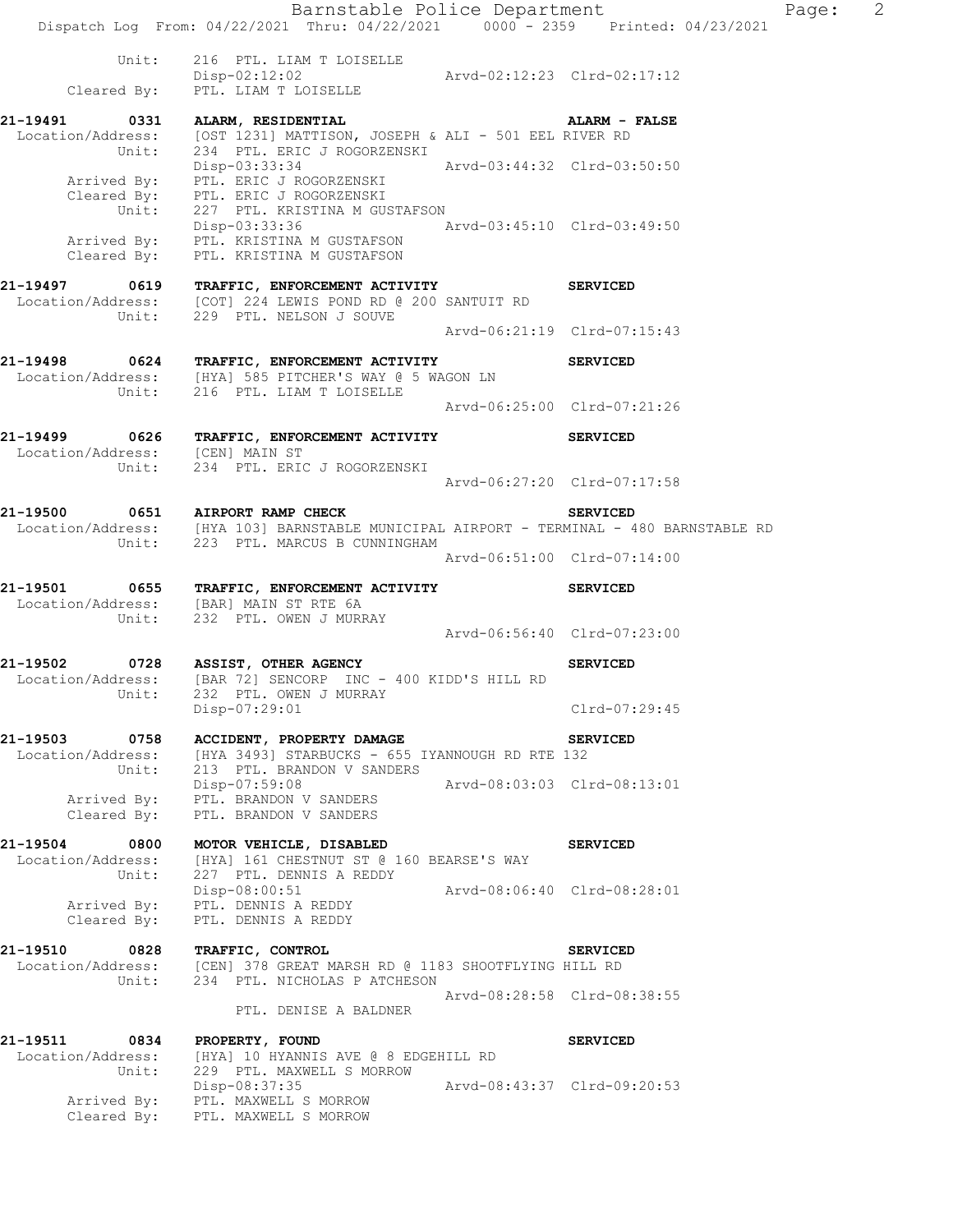Barnstable Police Department Fage: 2 Dispatch Log From: 04/22/2021 Thru: 04/22/2021 0000 - 2359 Printed: 04/23/2021 Unit: 216 PTL. LIAM T LOISELLE Disp-02:12:02 Arvd-02:12:23 Clrd-02:17:12 Cleared By: PTL. LIAM T LOISELLE **21-19491 0331 ALARM, RESIDENTIAL ALARM - FALSE**  Location/Address: [OST 1231] MATTISON, JOSEPH & ALI - 501 EEL RIVER RD Unit: 234 PTL. ERIC J ROGORZENSKI Disp-03:33:34 Arvd-03:44:32 Clrd-03:50:50 Arrived By: PTL. ERIC J ROGORZENSKI Cleared By: PTL. ERIC J ROGORZENSKI Unit: 227 PTL. KRISTINA M GUSTAFSON Disp-03:33:36 Arvd-03:45:10 Clrd-03:49:50 Arrived By: PTL. KRISTINA M GUSTAFSON Cleared By: PTL. KRISTINA M GUSTAFSON **21-19497 0619 TRAFFIC, ENFORCEMENT ACTIVITY SERVICED**  Location/Address: [COT] 224 LEWIS POND RD @ 200 SANTUIT RD Unit: 229 PTL. NELSON J SOUVE Arvd-06:21:19 Clrd-07:15:43 **21-19498 0624 TRAFFIC, ENFORCEMENT ACTIVITY SERVICED**  Location/Address: [HYA] 585 PITCHER'S WAY @ 5 WAGON LN Unit: 216 PTL. LIAM T LOISELLE Arvd-06:25:00 Clrd-07:21:26 **21-19499 0626 TRAFFIC, ENFORCEMENT ACTIVITY SERVICED**  Location/Address: [CEN] MAIN ST Unit: 234 PTL. ERIC J ROGORZENSKI Arvd-06:27:20 Clrd-07:17:58 **21-19500 0651 AIRPORT RAMP CHECK SERVICED**  Location/Address: [HYA 103] BARNSTABLE MUNICIPAL AIRPORT - TERMINAL - 480 BARNSTABLE RD Unit: 223 PTL. MARCUS B CUNNINGHAM Arvd-06:51:00 Clrd-07:14:00 **21-19501 0655 TRAFFIC, ENFORCEMENT ACTIVITY SERVICED**  Location/Address: [BAR] MAIN ST RTE 6A Unit: 232 PTL. OWEN J MURRAY Arvd-06:56:40 Clrd-07:23:00 **21-19502 0728 ASSIST, OTHER AGENCY SERVICED**  Location/Address: [BAR 72] SENCORP INC - 400 KIDD'S HILL RD Unit: 232 PTL. OWEN J MURRAY Disp-07:29:01 Clrd-07:29:45 **21-19503 0758 ACCIDENT, PROPERTY DAMAGE SERVICED**  Location/Address: [HYA 3493] STARBUCKS - 655 IYANNOUGH RD RTE 132 Unit: 213 PTL. BRANDON V SANDERS Disp-07:59:08 Arvd-08:03:03 Clrd-08:13:01 Arrived By: PTL. BRANDON V SANDERS Cleared By: PTL. BRANDON V SANDERS **21-19504 0800 MOTOR VEHICLE, DISABLED SERVICED**  Location/Address: [HYA] 161 CHESTNUT ST @ 160 BEARSE'S WAY Unit: 227 PTL. DENNIS A REDDY Disp-08:00:51 Arvd-08:06:40 Clrd-08:28:01 Arrived By: PTL. DENNIS A REDDY Cleared By: PTL. DENNIS A REDDY **21-19510 0828 TRAFFIC, CONTROL SERVICED**  Location/Address: [CEN] 378 GREAT MARSH RD @ 1183 SHOOTFLYING HILL RD Unit: 234 PTL. NICHOLAS P ATCHESON Arvd-08:28:58 Clrd-08:38:55 PTL. DENISE A BALDNER **21-19511 0834 PROPERTY, FOUND SERVICED**  Location/Address: [HYA] 10 HYANNIS AVE @ 8 EDGEHILL RD Unit: 229 PTL. MAXWELL S MORROW Disp-08:37:35 Arvd-08:43:37 Clrd-09:20:53 Arrived By: PTL. MAXWELL S MORROW Cleared By: PTL. MAXWELL S MORROW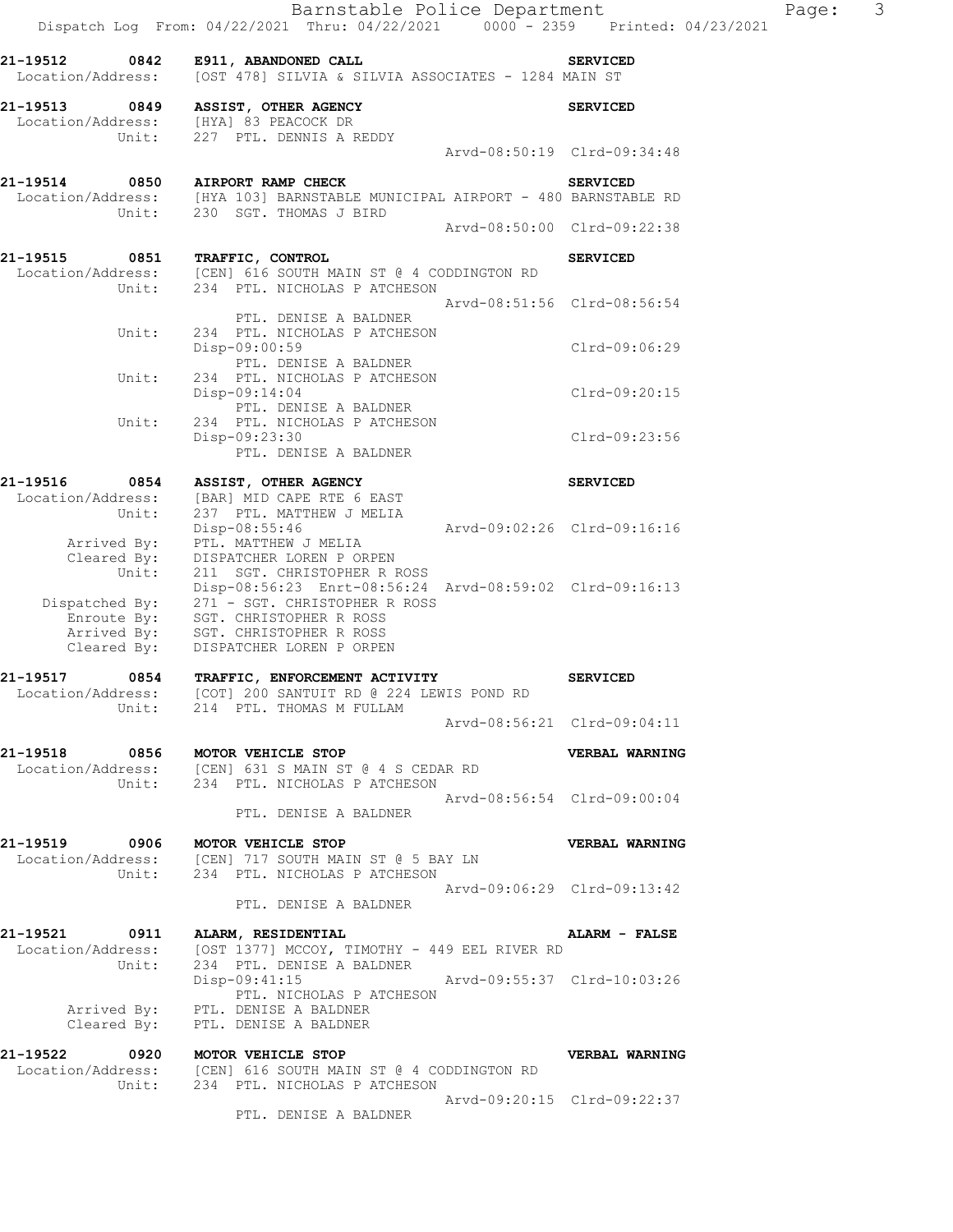| 21-19512 0842<br>Location/Address:                          |       | E911, ABANDONED CALL<br>[OST 478] SILVIA & SILVIA ASSOCIATES - 1284 MAIN ST                                                                                                | <b>SERVICED</b>             |
|-------------------------------------------------------------|-------|----------------------------------------------------------------------------------------------------------------------------------------------------------------------------|-----------------------------|
| 21-19513 0849                                               | Unit: | ASSIST, OTHER AGENCY<br>Location/Address: [HYA] 83 PEACOCK DR<br>227 PTL. DENNIS A REDDY                                                                                   | <b>SERVICED</b>             |
|                                                             |       |                                                                                                                                                                            | Arvd-08:50:19 Clrd-09:34:48 |
| 21-19514 0850                                               |       | AIRPORT RAMP CHECK<br>Location/Address: [HYA 103] BARNSTABLE MUNICIPAL AIRPORT - 480 BARNSTABLE RD<br>Unit: 230 SGT. THOMAS J BIRD                                         | <b>SERVICED</b>             |
|                                                             |       |                                                                                                                                                                            | Arvd-08:50:00 Clrd-09:22:38 |
| 21-19515 0851                                               | Unit: | TRAFFIC, CONTROL<br>Location/Address: [CEN] 616 SOUTH MAIN ST @ 4 CODDINGTON RD<br>234 PTL. NICHOLAS P ATCHESON                                                            | <b>SERVICED</b>             |
|                                                             | Unit: | Arvd-08:51:56 Clrd-08:56:54<br>PTL. DENISE A BALDNER<br>234 PTL. NICHOLAS P ATCHESON                                                                                       |                             |
|                                                             |       | Disp-09:00:59<br>PTL. DENISE A BALDNER                                                                                                                                     | Clrd-09:06:29               |
|                                                             | Unit: | 234 PTL. NICHOLAS P ATCHESON<br>Disp-09:14:04<br>PTL. DENISE A BALDNER                                                                                                     | $Clrd-09:20:15$             |
|                                                             | Unit: | 234 PTL. NICHOLAS P ATCHESON<br>Disp-09:23:30<br>PTL. DENISE A BALDNER                                                                                                     | $Clrd-09:23:56$             |
| 21-19516<br>0854                                            |       | ASSIST, OTHER AGENCY                                                                                                                                                       | <b>SERVICED</b>             |
| Location/Address:                                           | Unit: | [BAR] MID CAPE RTE 6 EAST<br>237 PTL. MATTHEW J MELIA<br>Disp-08:55:46                                                                                                     | Arvd-09:02:26 Clrd-09:16:16 |
| Arrived By:<br>Cleared By:                                  | Unit: | PTL. MATTHEW J MELIA<br>DISPATCHER LOREN P ORPEN<br>211 SGT. CHRISTOPHER R ROSS                                                                                            |                             |
| Dispatched By:<br>Enroute By:<br>Arrived By:<br>Cleared By: |       | Disp-08:56:23 Enrt-08:56:24 Arvd-08:59:02 Clrd-09:16:13<br>271 - SGT. CHRISTOPHER R ROSS<br>SGT. CHRISTOPHER R ROSS<br>SGT. CHRISTOPHER R ROSS<br>DISPATCHER LOREN P ORPEN |                             |
| 21-19517                                                    |       | L-19517 0854 TRAFFIC, ENFORCEMENT ACTIVITY<br>Location/Address: [COT] 200 SANTUIT RD @ 224 LEWIS POND RD                                                                   | <b>SERVICED</b>             |
|                                                             | Unit: | 214 PTL. THOMAS M FULLAM                                                                                                                                                   | Arvd-08:56:21 Clrd-09:04:11 |
| 21-19518                                                    |       | 0856 MOTOR VEHICLE STOP<br>Location/Address: [CEN] 631 S MAIN ST @ 4 S CEDAR RD<br>Unit: 234 PTL. NICHOLAS P ATCHESON                                                      | VERBAL WARNING              |
|                                                             |       | Arvd-08:56:54 Clrd-09:00:04<br>PTL. DENISE A BALDNER                                                                                                                       |                             |
| 21-19519                                                    | 0906  | MOTOR VEHICLE STOP<br>Location/Address: [CEN] 717 SOUTH MAIN ST @ 5 BAY LN<br>Unit: 234 PTL. NICHOLAS P ATCHESON                                                           | VERBAL WARNING              |
|                                                             |       | Arvd-09:06:29 Clrd-09:13:42<br>PTL. DENISE A BALDNER                                                                                                                       |                             |
|                                                             | Unit: | 21-19521 0911 ALARM, RESIDENTIAL<br>Location/Address: [OST 1377] MCCOY, TIMOTHY - 449 EEL RIVER RD<br>234 PTL. DENISE A BALDNER                                            | ALARM - FALSE               |
|                                                             |       | Disp-09:41:15<br>PTL. NICHOLAS P ATCHESON<br>Arrived By: PTL. DENISE A BALDNER                                                                                             |                             |
|                                                             |       | Cleared By: PTL. DENISE A BALDNER                                                                                                                                          |                             |
| 21-19522                                                    |       | 0920 MOTOR VEHICLE STOP<br>Location/Address: [CEN] 616 SOUTH MAIN ST @ 4 CODDINGTON RD<br>Unit: 234 PTL. NICHOLAS P ATCHESON                                               | VERBAL WARNING              |
|                                                             |       | PTL. DENISE A BALDNER                                                                                                                                                      | Arvd-09:20:15 Clrd-09:22:37 |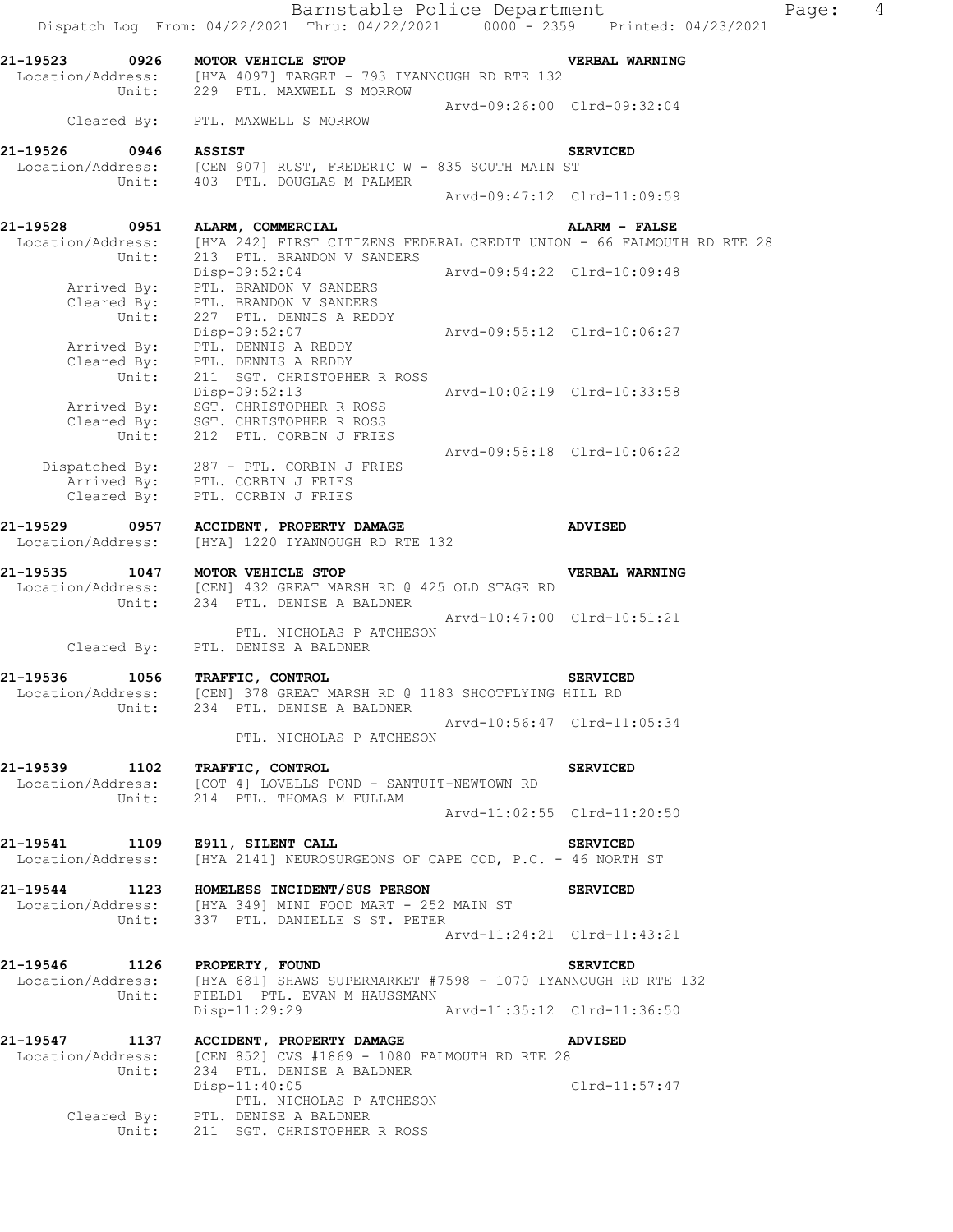|                                    | Barnstable Police Department<br>Dispatch Log From: 04/22/2021 Thru: 04/22/2021 0000 - 2359 Printed: 04/23/2021                                                                          |                             |                             | Page: | $\overline{4}$ |
|------------------------------------|-----------------------------------------------------------------------------------------------------------------------------------------------------------------------------------------|-----------------------------|-----------------------------|-------|----------------|
|                                    | 21-19523 0926 MOTOR VEHICLE STOP<br>Location/Address: [HYA 4097] TARGET - 793 IYANNOUGH RD RTE 132<br>Unit: 229 PTL. MAXWELL S MORROW                                                   |                             | VERBAL WARNING              |       |                |
|                                    |                                                                                                                                                                                         | Arvd-09:26:00 Clrd-09:32:04 |                             |       |                |
|                                    | Cleared By: PTL. MAXWELL S MORROW                                                                                                                                                       |                             |                             |       |                |
|                                    | 21-19526 0946 ASSIST<br>Location/Address: [CEN 907] RUST, FREDERIC W - 835 SOUTH MAIN ST<br>Unit: 403 PTL. DOUGLAS M PALMER                                                             |                             | <b>SERVICED</b>             |       |                |
|                                    |                                                                                                                                                                                         | Arvd-09:47:12 Clrd-11:09:59 |                             |       |                |
|                                    | 21-19528 0951 ALARM, COMMERCIAL<br>Location/Address: [HYA 242] FIRST CITIZENS FEDERAL CREDIT UNION - 66 FALMOUTH RD RTE 28<br>Unit: 213 PTL. BRANDON V SANDERS                          |                             | <b>ALARM - FALSE</b>        |       |                |
| Unit:                              | Disp-09:52:04<br>Arrived By: PTL. BRANDON V SANDERS<br>Cleared By: PTL. BRANDON V SANDERS<br>227 PTL. DENNIS A REDDY                                                                    | Arvd-09:54:22 Clrd-10:09:48 |                             |       |                |
|                                    | Disp-09:52:07<br>Arrived By: PTL. DENNIS A REDDY<br>Cleared By: PTL. DENNIS A REDDY                                                                                                     | Arvd-09:55:12 Clrd-10:06:27 |                             |       |                |
| Unit:                              | 211 SGT. CHRISTOPHER R ROSS<br>Disp-09:52:13 Arvd-10:02:19 Clrd-10:33:58<br>Arrived By: SGT. CHRISTOPHER R ROSS<br>Cleared By: SGT. CHRISTOPHER R ROSS<br>Unit: 212 PTL. CORBIN J FRIES |                             |                             |       |                |
|                                    | Dispatched By: 287 - PTL. CORBIN J FRIES<br>Arrived By: PTL. CORBIN J FRIES<br>Cleared By: PTL. CORBIN J FRIES                                                                          | Arvd-09:58:18 Clrd-10:06:22 |                             |       |                |
| Location/Address:                  | 21-19529 0957 ACCIDENT, PROPERTY DAMAGE<br>[HYA] 1220 IYANNOUGH RD RTE 132                                                                                                              |                             | ADVISED                     |       |                |
| 21-19535<br>Unit:                  | 1047 MOTOR VEHICLE STOP<br>Location/Address: [CEN] 432 GREAT MARSH RD @ 425 OLD STAGE RD<br>234 PTL. DENISE A BALDNER                                                                   |                             | VERBAL WARNING              |       |                |
|                                    | PTL. NICHOLAS P ATCHESON<br>Cleared By: PTL. DENISE A BALDNER                                                                                                                           |                             | Arvd-10:47:00 Clrd-10:51:21 |       |                |
| 21-19536 1056<br>Location/Address: | TRAFFIC, CONTROL<br>[CEN] 378 GREAT MARSH RD @ 1183 SHOOTFLYING HILL RD                                                                                                                 |                             | <b>SERVICED</b>             |       |                |
|                                    | Unit: 234 PTL. DENISE A BALDNER<br>PTL. NICHOLAS P ATCHESON                                                                                                                             | Arvd-10:56:47 Clrd-11:05:34 |                             |       |                |
| 21-19539 1102 TRAFFIC, CONTROL     | Location/Address: [COT 4] LOVELLS POND - SANTUIT-NEWTOWN RD<br>Unit: 214 PTL. THOMAS M FULLAM                                                                                           |                             | <b>SERVICED</b>             |       |                |
|                                    |                                                                                                                                                                                         |                             | Arvd-11:02:55 Clrd-11:20:50 |       |                |
| 21-19541 1109 E911, SILENT CALL    | Location/Address: [HYA 2141] NEUROSURGEONS OF CAPE COD, P.C. - 46 NORTH ST                                                                                                              |                             | <b>SERVICED</b>             |       |                |
|                                    | 21-19544 1123 HOMELESS INCIDENT/SUS PERSON<br>Location/Address: [HYA 349] MINI FOOD MART - 252 MAIN ST<br>Unit: 337 PTL. DANIELLE S ST. PETER                                           |                             | <b>SERVICED</b>             |       |                |
|                                    |                                                                                                                                                                                         |                             | Arvd-11:24:21 Clrd-11:43:21 |       |                |
| Unit:                              | 21-19546 1126 PROPERTY, FOUND<br>Location/Address: [HYA 681] SHAWS SUPERMARKET #7598 - 1070 IYANNOUGH RD RTE 132<br>FIELD1 PTL. EVAN M HAUSSMANN<br>Disp-11:29:29                       | Arvd-11:35:12 Clrd-11:36:50 | <b>SERVICED</b>             |       |                |
|                                    | 21-19547 1137 ACCIDENT, PROPERTY DAMAGE                                                                                                                                                 |                             | ADVISED                     |       |                |
| Location/Address:<br>Unit:         | [CEN 852] CVS #1869 - 1080 FALMOUTH RD RTE 28<br>234 PTL. DENISE A BALDNER<br>$Disp-11:40:05$                                                                                           |                             | Clrd-11:57:47               |       |                |
| Unit:                              | PTL. NICHOLAS P ATCHESON<br>Cleared By: PTL. DENISE A BALDNER<br>211 SGT. CHRISTOPHER R ROSS                                                                                            |                             |                             |       |                |
|                                    |                                                                                                                                                                                         |                             |                             |       |                |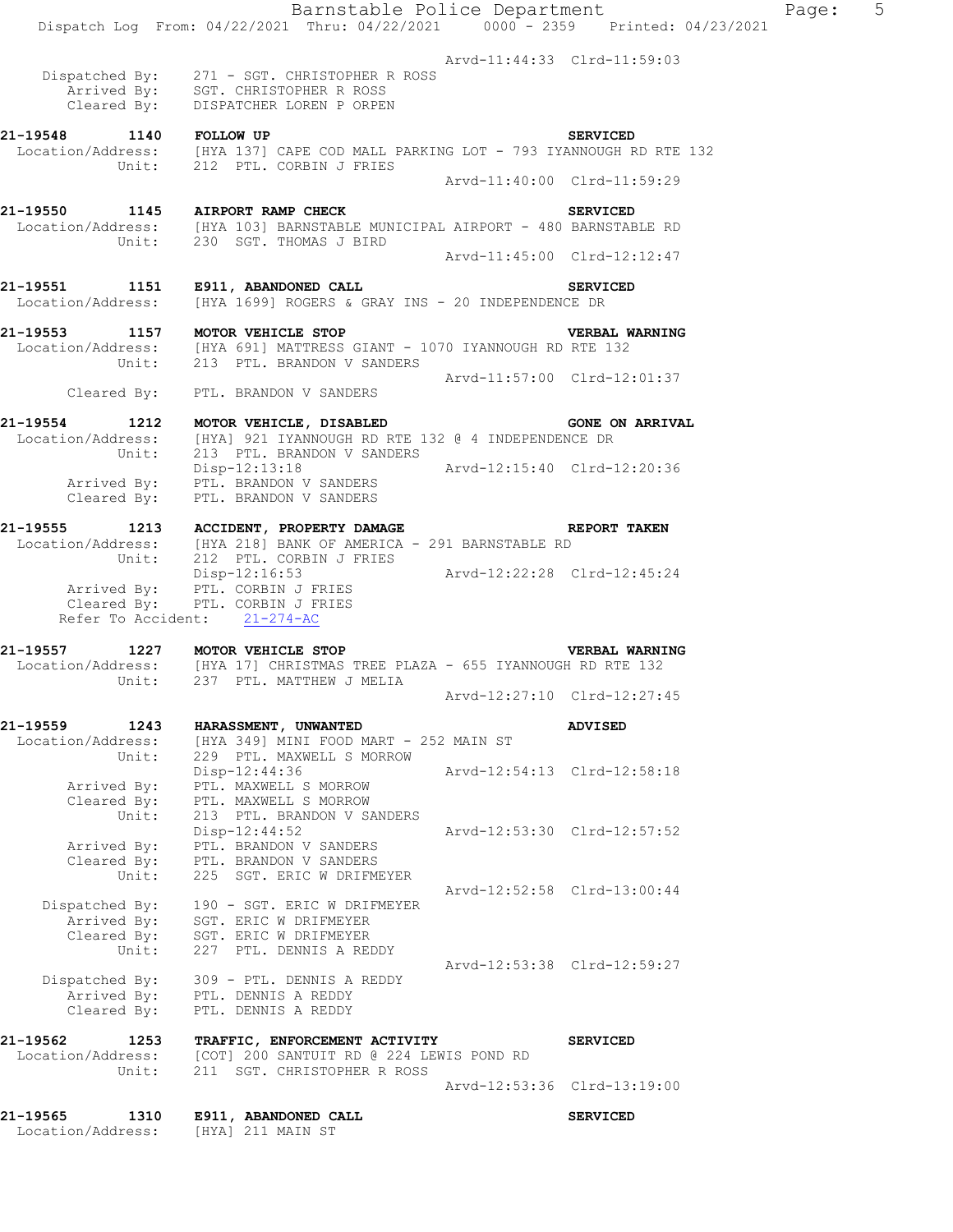|                                                | Barnstable Police Department<br>Dispatch Log From: 04/22/2021 Thru: 04/22/2021 0000 - 2359 Printed: 04/23/2021                                              |                             |                             | Page: | 5 |
|------------------------------------------------|-------------------------------------------------------------------------------------------------------------------------------------------------------------|-----------------------------|-----------------------------|-------|---|
|                                                | Dispatched By: 271 - SGT. CHRISTOPHER R ROSS<br>Arrived By: SGT. CHRISTOPHER R ROSS<br>Cleared By: DISPATCHER LOREN P ORPEN                                 | Arvd-11:44:33 Clrd-11:59:03 |                             |       |   |
| 21-19548 1140 FOLLOW UP                        | Location/Address: [HYA 137] CAPE COD MALL PARKING LOT - 793 IYANNOUGH RD RTE 132<br>Unit: 212 PTL. CORBIN J FRIES                                           |                             | <b>SERVICED</b>             |       |   |
|                                                |                                                                                                                                                             |                             | Arvd-11:40:00 Clrd-11:59:29 |       |   |
|                                                | 21-19550 1145 AIRPORT RAMP CHECK<br>Location/Address: [HYA 103] BARNSTABLE MUNICIPAL AIRPORT - 480 BARNSTABLE RD<br>Unit: 230 SGT. THOMAS J BIRD            |                             | <b>SERVICED</b>             |       |   |
|                                                |                                                                                                                                                             | Arvd-11:45:00 Clrd-12:12:47 |                             |       |   |
|                                                | 21-19551 1151 E911, ABANDONED CALL<br>Location/Address: [HYA 1699] ROGERS & GRAY INS - 20 INDEPENDENCE DR                                                   |                             | <b>SERVICED</b>             |       |   |
|                                                | VERBAL WOR VERICLE STOP VERBAL WEREAL WORD READ THE 132<br>Unit: 213 PTL. BRANDON V SANDERS                                                                 |                             | <b>VERBAL WARNING</b>       |       |   |
|                                                | Cleared By: PTL. BRANDON V SANDERS                                                                                                                          | Arvd-11:57:00 Clrd-12:01:37 |                             |       |   |
|                                                |                                                                                                                                                             |                             |                             |       |   |
| Unit:                                          | 21-19554 1212 MOTOR VEHICLE, DISABLED SONE ON ARRIVAL<br>Location/Address: [HYA] 921 IYANNOUGH RD RTE 132 @ 4 INDEPENDENCE DR<br>213 PTL. BRANDON V SANDERS |                             |                             |       |   |
| Cleared By:                                    | Disp-12:13:18<br>Arrived By: PTL. BRANDON V SANDERS<br>PTL. BRANDON V SANDERS                                                                               | Arvd-12:15:40 Clrd-12:20:36 |                             |       |   |
| Unit:                                          | 21-19555 1213 ACCIDENT, PROPERTY DAMAGE<br>Location/Address: [HYA 218] BANK OF AMERICA - 291 BARNSTABLE RD<br>212 PTL. CORBIN J FRIES                       |                             | REPORT TAKEN                |       |   |
|                                                | Disp-12:16:53 Arvd-12:22:28 Clrd-12:45:24<br>Arrived By: PTL. CORBIN J FRIES<br>Cleared By: PTL. CORBIN J FRIES<br>Refer To Accident: 21-274-AC             |                             |                             |       |   |
|                                                | 21-19557 1227 MOTOR VEHICLE STOP VERBAL WARNI<br>Location/Address: [HYA 17] CHRISTMAS TREE PLAZA - 655 IYANNOUGH RD RTE 132                                 |                             | <b>VERBAL WARNING</b>       |       |   |
|                                                | Unit: 237 PTL. MATTHEW J MELIA                                                                                                                              |                             |                             |       |   |
|                                                |                                                                                                                                                             | Arvd-12:27:10 Clrd-12:27:45 |                             |       |   |
| 21-19559<br>1243<br>Location/Address:<br>Unit: | HARASSMENT, UNWANTED<br>[HYA 349] MINI FOOD MART - 252 MAIN ST<br>229 PTL. MAXWELL S MORROW                                                                 |                             | <b>ADVISED</b>              |       |   |
| Arrived By:<br>Cleared By:                     | Disp-12:44:36<br>PTL. MAXWELL S MORROW<br>PTL. MAXWELL S MORROW                                                                                             |                             | Arvd-12:54:13 Clrd-12:58:18 |       |   |
| Unit:<br>Arrived By:<br>Cleared By:            | 213 PTL. BRANDON V SANDERS<br>$Disp-12:44:52$<br>PTL. BRANDON V SANDERS<br>PTL. BRANDON V SANDERS                                                           |                             | Arvd-12:53:30 Clrd-12:57:52 |       |   |
| Unit:<br>Dispatched By:<br>Arrived By:         | 225 SGT. ERIC W DRIFMEYER<br>190 - SGT. ERIC W DRIFMEYER<br>SGT. ERIC W DRIFMEYER                                                                           |                             | Arvd-12:52:58 Clrd-13:00:44 |       |   |
| Cleared By:<br>Unit:                           | SGT. ERIC W DRIFMEYER<br>227 PTL. DENNIS A REDDY                                                                                                            | Arvd-12:53:38 Clrd-12:59:27 |                             |       |   |
| Dispatched By:<br>Arrived By:<br>Cleared By:   | 309 - PTL. DENNIS A REDDY<br>PTL. DENNIS A REDDY<br>PTL. DENNIS A REDDY                                                                                     |                             |                             |       |   |
| 21-19562<br>1253<br>Location/Address:<br>Unit: | TRAFFIC, ENFORCEMENT ACTIVITY<br>[COT] 200 SANTUIT RD @ 224 LEWIS POND RD<br>211 SGT. CHRISTOPHER R ROSS                                                    |                             | <b>SERVICED</b>             |       |   |
|                                                |                                                                                                                                                             |                             | Arvd-12:53:36 Clrd-13:19:00 |       |   |
| 21-19565<br>1310<br>Location/Address:          | E911, ABANDONED CALL<br>[HYA] 211 MAIN ST                                                                                                                   |                             | <b>SERVICED</b>             |       |   |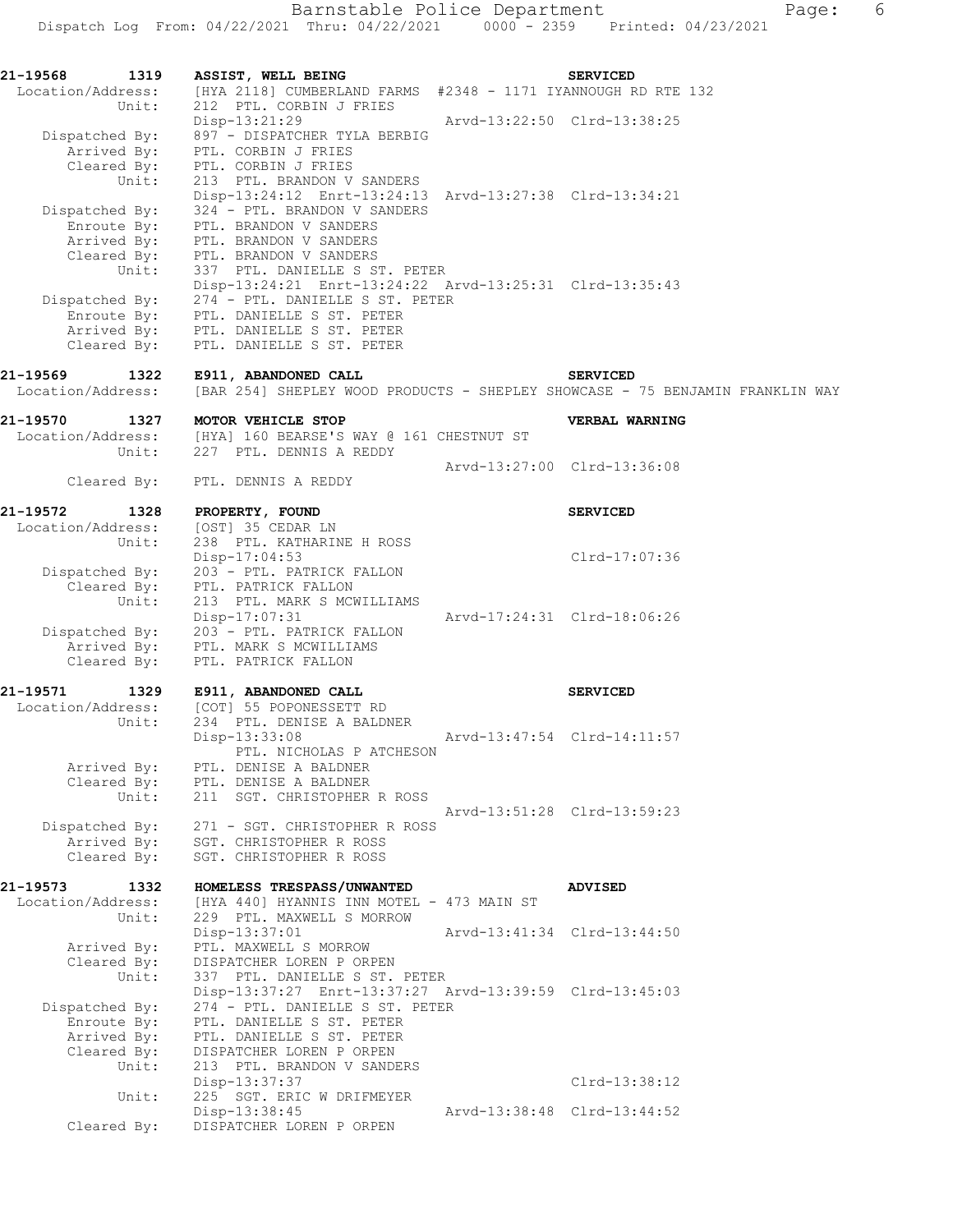| 21-19568<br>Location/Address: | 1319                                | ASSIST, WELL BEING<br>[HYA 2118] CUMBERLAND FARMS #2348 - 1171 IYANNOUGH RD RTE 132                                                                                                                                                  |                             | <b>SERVICED</b>                                                                                  |
|-------------------------------|-------------------------------------|--------------------------------------------------------------------------------------------------------------------------------------------------------------------------------------------------------------------------------------|-----------------------------|--------------------------------------------------------------------------------------------------|
|                               | Unit:<br>Dispatched By:             | 212 PTL. CORBIN J FRIES<br>$Disp-13:21:29$<br>897 - DISPATCHER TYLA BERBIG<br>Arrived By: PTL. CORBIN J FRIES                                                                                                                        |                             | Arvd-13:22:50 Clrd-13:38:25                                                                      |
|                               |                                     | Cleared By: PTL. CORBIN J FRIES<br>Unit: 213 PTL. BRANDON V<br>213 PTL. BRANDON V SANDERS<br>Disp-13:24:12 Enrt-13:24:13 Arvd-13:27:38 Clrd-13:34:21                                                                                 |                             |                                                                                                  |
|                               | Dispatched By:<br>Unit:             | 324 - PTL. BRANDON V SANDERS<br>Enroute By: PTL. BRANDON V SANDERS<br>Arrived By: PTL. BRANDON V SANDERS<br>Cleared By: PTL. BRANDON V SANDERS<br>337 PTL. DANIELLE S ST. PETER                                                      |                             |                                                                                                  |
|                               |                                     | Disp-13:24:21 Enrt-13:24:22 Arvd-13:25:31 Clrd-13:35:43<br>Dispatched By: 274 - PTL. DANIELLE S ST. PETER<br>Enroute By: PTL. DANIELLE S ST. PETER<br>Arrived By: PTL. DANIELLE S ST. PETER<br>Cleared By: PTL. DANIELLE S ST. PETER |                             |                                                                                                  |
| 21-19569<br>Location/Address: | 1322                                | E911, ABANDONED CALL                                                                                                                                                                                                                 |                             | <b>SERVICED</b><br>[BAR 254] SHEPLEY WOOD PRODUCTS - SHEPLEY SHOWCASE - 75 BENJAMIN FRANKLIN WAY |
| 21-19570<br>Location/Address: |                                     | 1327 MOTOR VEHICLE STOP<br>Thess: [HYA] 160 BEARSE'S WAY @ 161 CHESTNUT ST<br>Unit: 227 PTL DENNIS & PERRY                                                                                                                           |                             | VERBAL WARNING                                                                                   |
|                               | Cleared By:                         | PTL. DENNIS A REDDY                                                                                                                                                                                                                  |                             | Arvd-13:27:00 Clrd-13:36:08                                                                      |
| 21-19572                      | 1328                                | PROPERTY, FOUND                                                                                                                                                                                                                      |                             | <b>SERVICED</b>                                                                                  |
| Location/Address:             | Unit:                               | [OST] 35 CEDAR LN<br>238 PTL. KATHARINE H ROSS<br>$Disp-17:04:53$<br>Dispatched By: 203 - PTL. PATRICK FALLON                                                                                                                        |                             | Clrd-17:07:36                                                                                    |
|                               | Unit:                               | Cleared By: PTL. PATRICK FALLON<br>213 PTL. MARK S MCWILLIAMS<br>Disp-17:07:31                                                                                                                                                       |                             | Arvd-17:24:31 Clrd-18:06:26                                                                      |
|                               |                                     | Dispatched By: 203 - PTL. PATRICK FALLON<br>Arrived By: PTL. MARK S MCWILLIAMS<br>Cleared By: PTL. PATRICK FALLON                                                                                                                    |                             |                                                                                                  |
| 21-19571<br>Location/Address: | 1329<br>Unit:                       | E911, ABANDONED CALL<br>[COT] 55 POPONESSETT RD<br>234 PTL. DENISE A BALDNER                                                                                                                                                         |                             | <b>SERVICED</b>                                                                                  |
|                               | Arrived By:                         | $Disp-13:33:08$<br>PTL. NICHOLAS P ATCHESON<br>PTL. DENISE A BALDNER                                                                                                                                                                 | Arvd-13:47:54 Clrd-14:11:57 |                                                                                                  |
|                               | Cleared By:<br>Unit:                | PTL. DENISE A BALDNER<br>211 SGT. CHRISTOPHER R ROSS                                                                                                                                                                                 |                             | Arvd-13:51:28 Clrd-13:59:23                                                                      |
| Dispatched By:                | Arrived By:<br>Cleared By:          | 271 - SGT. CHRISTOPHER R ROSS<br>SGT. CHRISTOPHER R ROSS<br>SGT. CHRISTOPHER R ROSS                                                                                                                                                  |                             |                                                                                                  |
| 21-19573<br>Location/Address: | 1332<br>Unit:                       | HOMELESS TRESPASS/UNWANTED<br>[HYA 440] HYANNIS INN MOTEL - 473 MAIN ST<br>229 PTL. MAXWELL S MORROW                                                                                                                                 |                             | <b>ADVISED</b>                                                                                   |
|                               | Arrived By:<br>Cleared By:          | Disp-13:37:01<br>PTL. MAXWELL S MORROW<br>DISPATCHER LOREN P ORPEN                                                                                                                                                                   |                             | Arvd-13:41:34 Clrd-13:44:50                                                                      |
| Dispatched By:                | Unit:<br>Enroute By:<br>Arrived By: | 337 PTL. DANIELLE S ST. PETER<br>Disp-13:37:27 Enrt-13:37:27 Arvd-13:39:59 Clrd-13:45:03<br>274 - PTL. DANIELLE S ST. PETER<br>PTL. DANIELLE S ST. PETER<br>PTL. DANIELLE S ST. PETER                                                |                             |                                                                                                  |
|                               | Cleared By:<br>Unit:                | DISPATCHER LOREN P ORPEN<br>213 PTL. BRANDON V SANDERS<br>Disp-13:37:37                                                                                                                                                              |                             | Clrd-13:38:12                                                                                    |
|                               | Unit:<br>Cleared By:                | 225 SGT. ERIC W DRIFMEYER<br>Disp-13:38:45<br>DISPATCHER LOREN P ORPEN                                                                                                                                                               |                             | Arvd-13:38:48 Clrd-13:44:52                                                                      |
|                               |                                     |                                                                                                                                                                                                                                      |                             |                                                                                                  |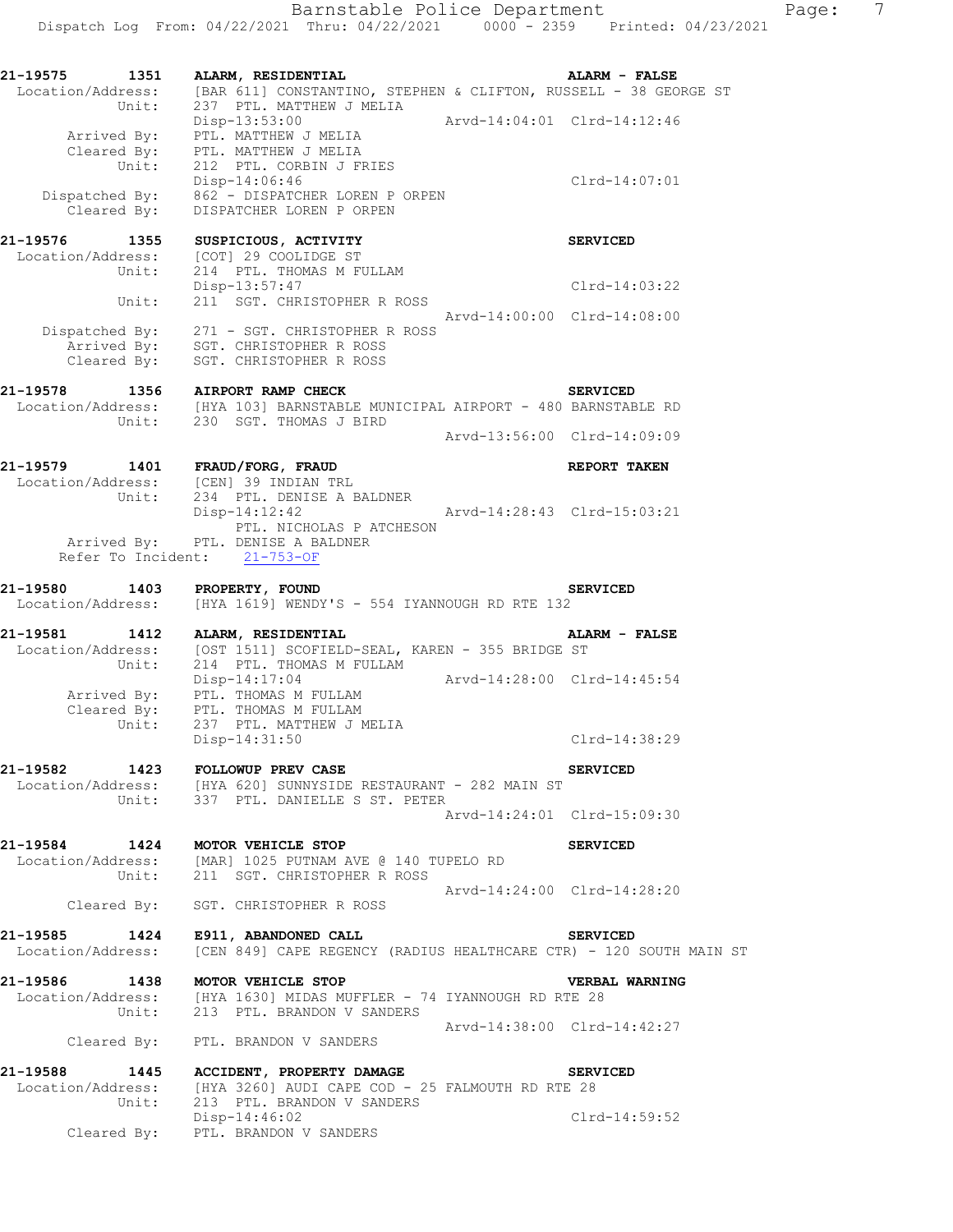| Unit:                         | 21-19575 1351 ALARM, RESIDENTIAL<br>Location/Address: [BAR 611] CONSTANTINO, STEPHEN & CLIFTON, RUSSELL - 38 GEORGE ST<br>237 PTL. MATTHEW J MELIA                                                                                                                                                                                                                                                                                                                                                                                                          | <b>ALARM - FALSE</b>        |  |
|-------------------------------|-------------------------------------------------------------------------------------------------------------------------------------------------------------------------------------------------------------------------------------------------------------------------------------------------------------------------------------------------------------------------------------------------------------------------------------------------------------------------------------------------------------------------------------------------------------|-----------------------------|--|
|                               | $\begin{minipage}{.45\textwidth} \begin{minipage}{0.45\textwidth} \centering \begin{minipage}{0.45\textwidth} \centering \end{minipage} \begin{minipage}{.45\textwidth} \centering \begin{minipage}{.45\textwidth} \centering \end{minipage} \begin{minipage}{.45\textwidth} \centering \begin{minipage}{.45\textwidth} \centering \end{minipage} \begin{minipage}{.45\textwidth} \centering \end{minipage} \begin{minipage}{.45\textwidth} \centering \begin{minipage}{.45\textwidth} \centering \centering \end{minipage} \begin{minipage}{.45\textwidth$ |                             |  |
|                               | Cleared By: PTL. MATTHEW J MELIA<br>Unit: 212 PTL. CORBIN J FRIES<br>Disp-14:06:46<br>Dispatched By: 862 - DISPATCHER LOREN P ORPEN<br>Cleared By: DISPATCHER LOREN P ORPEN                                                                                                                                                                                                                                                                                                                                                                                 | $Clrd-14:07:01$             |  |
|                               |                                                                                                                                                                                                                                                                                                                                                                                                                                                                                                                                                             |                             |  |
| 21-19576 1355<br>Unit:        | SUSPICIOUS, ACTIVITY<br>Location/Address: [COT] 29 COOLIDGE ST<br>214 PTL. THOMAS M FULLAM                                                                                                                                                                                                                                                                                                                                                                                                                                                                  | <b>SERVICED</b>             |  |
| Unit:                         | Disp-13:57:47<br>211 SGT. CHRISTOPHER R ROSS                                                                                                                                                                                                                                                                                                                                                                                                                                                                                                                | Clrd-14:03:22               |  |
|                               |                                                                                                                                                                                                                                                                                                                                                                                                                                                                                                                                                             | Arvd-14:00:00 Clrd-14:08:00 |  |
|                               | Dispatched By: 271 - SGT. CHRISTOPHER R ROSS<br>Arrived By: SGT. CHRISTOPHER R ROSS<br>Cleared By: SGT. CHRISTOPHER R ROSS                                                                                                                                                                                                                                                                                                                                                                                                                                  |                             |  |
|                               | 21-19578 1356 AIRPORT RAMP CHECK<br>Location/Address: [HYA 103] BARNSTABLE MUNICIPAL AIRPORT - 480 BARNSTABLE RD                                                                                                                                                                                                                                                                                                                                                                                                                                            | <b>SERVICED</b>             |  |
|                               | Unit: 230 SGT. THOMAS J BIRD                                                                                                                                                                                                                                                                                                                                                                                                                                                                                                                                | Arvd-13:56:00 Clrd-14:09:09 |  |
|                               | 21-19579 1401 FRAUD/FORG, FRAUD<br>Location/Address: [CEN] 39 INDIAN TRL                                                                                                                                                                                                                                                                                                                                                                                                                                                                                    | REPORT TAKEN                |  |
|                               | Unit: 234 PTL. DENISE A BALDNER<br>SE A BALDNER<br>Arvd-14:28:43 Clrd-15:03:21<br>$Disp-14:12:42$<br>PTL. NICHOLAS P ATCHESON                                                                                                                                                                                                                                                                                                                                                                                                                               |                             |  |
|                               | Arrived By: PTL. DENISE A BALDNER<br>Refer To Incident: 21-753-OF                                                                                                                                                                                                                                                                                                                                                                                                                                                                                           |                             |  |
| 21-19580 1403 PROPERTY, FOUND | Location/Address: [HYA 1619] WENDY'S - 554 IYANNOUGH RD RTE 132                                                                                                                                                                                                                                                                                                                                                                                                                                                                                             | <b>SERVICED</b>             |  |
| 21-19581 1412                 | ALARM, RESIDENTIAL                                                                                                                                                                                                                                                                                                                                                                                                                                                                                                                                          | <b>ALARM - FALSE</b>        |  |
| Unit:                         | Location/Address: [OST 1511] SCOFIELD-SEAL, KAREN - 355 BRIDGE ST<br>214 PTL. THOMAS M FULLAM                                                                                                                                                                                                                                                                                                                                                                                                                                                               |                             |  |
|                               | Disp-14:17:04<br>Arrived By: PTL. THOMAS M FULLAM<br>Cleared By: PTL. THOMAS M FULLAM<br>Unit: 237 PTL. MATTHEW J MELIA                                                                                                                                                                                                                                                                                                                                                                                                                                     | Arvd-14:28:00 Clrd-14:45:54 |  |
|                               | Disp-14:31:50                                                                                                                                                                                                                                                                                                                                                                                                                                                                                                                                               | Clrd-14:38:29               |  |
| 21-19582                      | 1423 FOLLOWUP PREV CASE                                                                                                                                                                                                                                                                                                                                                                                                                                                                                                                                     | <b>SERVICED</b>             |  |
|                               | Location/Address: [HYA 620] SUNNYSIDE RESTAURANT - 282 MAIN ST<br>Unit: 337 PTL. DANIELLE S ST. PETER                                                                                                                                                                                                                                                                                                                                                                                                                                                       |                             |  |
|                               |                                                                                                                                                                                                                                                                                                                                                                                                                                                                                                                                                             | Aryd-14:24:01 Clrd-15:09:30 |  |
|                               | 21-19584 1424 MOTOR VEHICLE STOP                                                                                                                                                                                                                                                                                                                                                                                                                                                                                                                            | <b>SERVICED</b>             |  |
|                               | Location/Address: [MAR] 1025 PUTNAM AVE @ 140 TUPELO RD<br>Unit: 211 SGT. CHRISTOPHER R ROSS                                                                                                                                                                                                                                                                                                                                                                                                                                                                |                             |  |
|                               | Cleared By: SGT. CHRISTOPHER R ROSS                                                                                                                                                                                                                                                                                                                                                                                                                                                                                                                         | Arvd-14:24:00 Clrd-14:28:20 |  |
| 21-19585                      | 1424 E911, ABANDONED CALL<br>Location/Address: [CEN 849] CAPE REGENCY (RADIUS HEALTHCARE CTR) - 120 SOUTH MAIN ST                                                                                                                                                                                                                                                                                                                                                                                                                                           | <b>SERVICED</b>             |  |
| 21-19586                      | L-19586 1438 MOTOR VEHICLE STOP<br>Location/Address: [HYA 1630] MIDAS MUFFLER - 74 IYANNOUGH RD RTE 28                                                                                                                                                                                                                                                                                                                                                                                                                                                      | <b>VERBAL WARNING</b>       |  |
|                               | Unit: 213 PTL. BRANDON V SANDERS                                                                                                                                                                                                                                                                                                                                                                                                                                                                                                                            |                             |  |
|                               | Cleared By: PTL. BRANDON V SANDERS                                                                                                                                                                                                                                                                                                                                                                                                                                                                                                                          | Arvd-14:38:00 Clrd-14:42:27 |  |
| 21-19588                      | 1445 ACCIDENT, PROPERTY DAMAGE                                                                                                                                                                                                                                                                                                                                                                                                                                                                                                                              | <b>SERVICED</b>             |  |
| Unit:                         | Location/Address: [HYA 3260] AUDI CAPE COD - 25 FALMOUTH RD RTE 28<br>213 PTL. BRANDON V SANDERS                                                                                                                                                                                                                                                                                                                                                                                                                                                            |                             |  |
|                               | $Disp-14:46:02$<br>Cleared By: PTL. BRANDON V SANDERS                                                                                                                                                                                                                                                                                                                                                                                                                                                                                                       | $Clrd-14:59:52$             |  |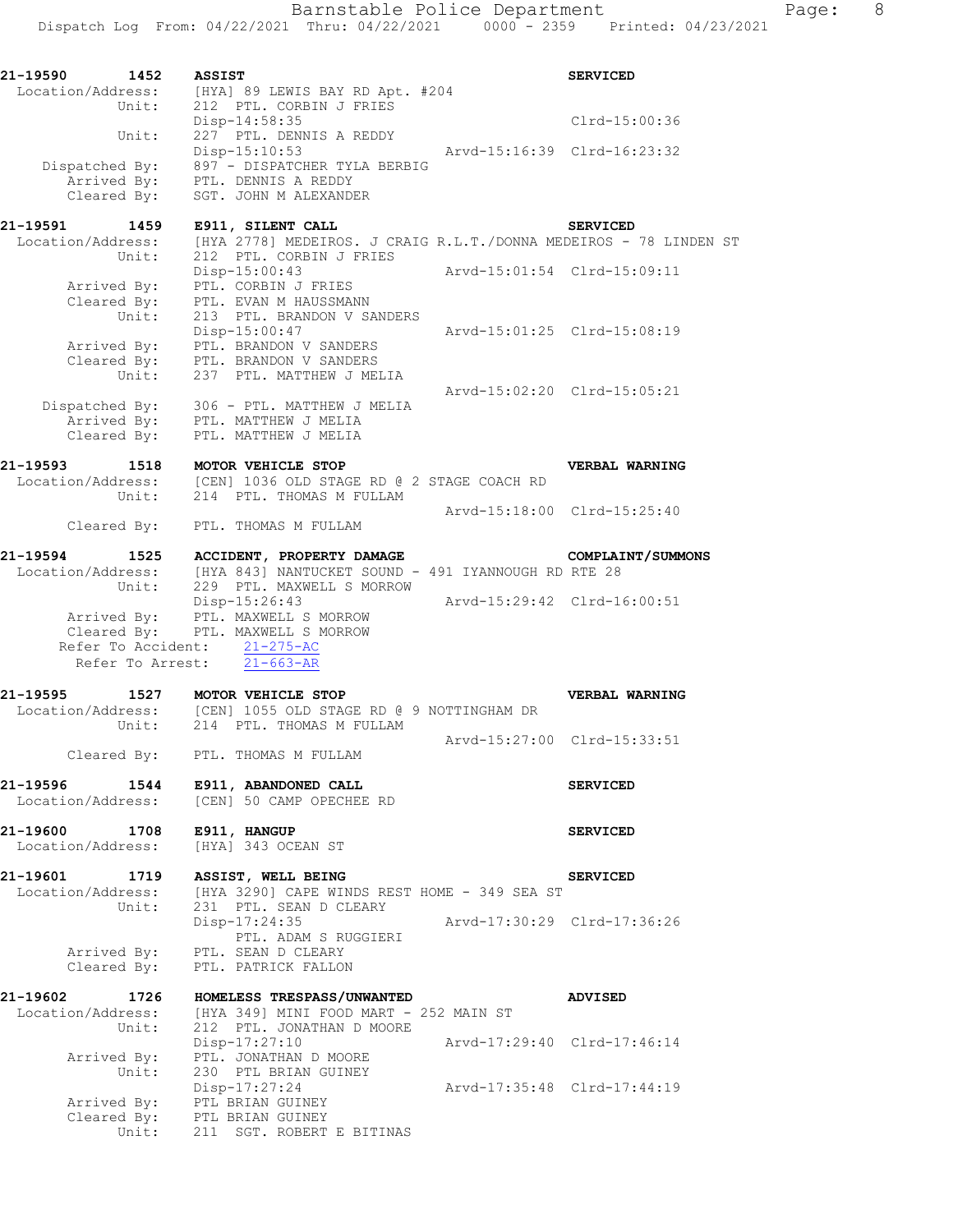Barnstable Police Department Fage: 8

Dispatch Log From: 04/22/2021 Thru: 04/22/2021 0000 - 2359 Printed: 04/23/2021

| 21-19590 1452                      |             | <b>ASSIST</b>                                                                                                        |                             | <b>SERVICED</b>   |
|------------------------------------|-------------|----------------------------------------------------------------------------------------------------------------------|-----------------------------|-------------------|
|                                    |             | Location/Address: [HYA] 89 LEWIS BAY RD Apt. #204<br>Unit: 212 PTL. CORBIN J FRIES                                   |                             |                   |
|                                    |             |                                                                                                                      |                             |                   |
|                                    |             | Disp-14:58:35                                                                                                        |                             | Clrd-15:00:36     |
|                                    | Unit:       | 227 PTL. DENNIS A REDDY                                                                                              |                             |                   |
|                                    |             | Disp-15:10:53                                                                                                        | Arvd-15:16:39 Clrd-16:23:32 |                   |
|                                    |             | Dispatched By: 897 - DISPATCHER TYLA BERBIG<br>Arrived By: PTL. DENNIS A REDDY                                       |                             |                   |
|                                    | Cleared By: | SGT. JOHN M ALEXANDER                                                                                                |                             |                   |
|                                    |             |                                                                                                                      |                             |                   |
| 21-19591 1459                      |             | E911, SILENT CALL                                                                                                    |                             | <b>SERVICED</b>   |
|                                    |             | Location/Address: [HYA 2778] MEDEIROS. J CRAIG R.L.T./DONNA MEDEIROS - 78 LINDEN ST<br>Unit: 212 PTL. CORBIN J FRIES |                             |                   |
|                                    |             |                                                                                                                      |                             |                   |
|                                    |             | Disp-15:00:43                                                                                                        | Arvd-15:01:54 Clrd-15:09:11 |                   |
|                                    |             | PTL. CORBIN J FRIES<br>Arrived By: PTL. CORBIN J FRIES<br>Cleared By: PTL. EVAN M HAUSSMANN                          |                             |                   |
|                                    |             |                                                                                                                      |                             |                   |
|                                    | Unit:       | 213 PTL. BRANDON V SANDERS<br>Disp-15:00:47                                                                          | Arvd-15:01:25 Clrd-15:08:19 |                   |
|                                    |             |                                                                                                                      |                             |                   |
|                                    |             |                                                                                                                      |                             |                   |
|                                    |             | Arrived By: PTL. BRANDON V SANDERS<br>Cleared By: PTL. BRANDON V SANDERS<br>Unit: 237 PTL. MATTHEW J MELIA           |                             |                   |
|                                    |             |                                                                                                                      | Arvd-15:02:20 Clrd-15:05:21 |                   |
|                                    |             | Dispatched By: 306 - PTL. MATTHEW J MELIA                                                                            |                             |                   |
|                                    |             | Arrived By: PTL. MATTHEW J MELIA                                                                                     |                             |                   |
|                                    |             | Cleared By: PTL. MATTHEW J MELIA                                                                                     |                             |                   |
|                                    |             |                                                                                                                      |                             |                   |
|                                    |             | 21-19593 1518 MOTOR VEHICLE STOP<br>Location/Address: [CEN] 1036 OLD STAGE RD @ 2 STAGE COACH RD                     |                             | VERBAL WARNING    |
|                                    |             | Unit: 214 PTL. THOMAS M FULLAM                                                                                       |                             |                   |
|                                    |             |                                                                                                                      | Arvd-15:18:00 Clrd-15:25:40 |                   |
|                                    |             | Cleared By: PTL. THOMAS M FULLAM                                                                                     |                             |                   |
|                                    |             |                                                                                                                      |                             |                   |
| 21-19594 1525                      |             | ACCIDENT, PROPERTY DAMAGE                                                                                            |                             | COMPLAINT/SUMMONS |
|                                    |             | Location/Address: [HYA 843] NANTUCKET SOUND - 491 IYANNOUGH RD RTE 28                                                |                             |                   |
|                                    | Unit:       | 229 PTL. MAXWELL S MORROW                                                                                            |                             |                   |
|                                    |             | Disp-15:26:43                                                                                                        | Arvd-15:29:42 Clrd-16:00:51 |                   |
|                                    |             | Arrived By: PTL. MAXWELL S MORROW<br>Cleared By: PTL. MAXWELL S MORROW                                               |                             |                   |
|                                    |             |                                                                                                                      |                             |                   |
|                                    |             | Refer To Accident: 21-275-AC                                                                                         |                             |                   |
|                                    |             | Refer To Arrest: 21-663-AR                                                                                           |                             |                   |
|                                    |             | 21-19595 1527 MOTOR VEHICLE STOP                                                                                     |                             | VERBAL WARNING    |
|                                    |             | Location/Address: [CEN] 1055 OLD STAGE RD @ 9 NOTTINGHAM DR                                                          |                             |                   |
|                                    | Unit:       | 214 PTL. THOMAS M FULLAM                                                                                             |                             |                   |
|                                    |             |                                                                                                                      | Arvd-15:27:00 Clrd-15:33:51 |                   |
|                                    | Cleared By: | PTL. THOMAS M FULLAM                                                                                                 |                             |                   |
|                                    |             |                                                                                                                      |                             |                   |
| 21-19596                           | 1544        | E911, ABANDONED CALL                                                                                                 |                             | <b>SERVICED</b>   |
| Location/Address:                  |             | [CEN] 50 CAMP OPECHEE RD                                                                                             |                             |                   |
|                                    |             |                                                                                                                      |                             |                   |
| 21-19600 1708<br>Location/Address: |             | E911, HANGUP<br>[HYA] 343 OCEAN ST                                                                                   |                             | <b>SERVICED</b>   |
|                                    |             |                                                                                                                      |                             |                   |
|                                    |             | 21-19601 1719 ASSIST, WELL BEING                                                                                     |                             | <b>SERVICED</b>   |
| Location/Address:                  |             | [HYA 3290] CAPE WINDS REST HOME - 349 SEA ST                                                                         |                             |                   |
|                                    | Unit:       | 231 PTL. SEAN D CLEARY                                                                                               |                             |                   |
|                                    |             | Disp-17:24:35                                                                                                        | Arvd-17:30:29 Clrd-17:36:26 |                   |
|                                    |             | PTL. ADAM S RUGGIERI                                                                                                 |                             |                   |
|                                    |             | Arrived By: PTL. SEAN D CLEARY                                                                                       |                             |                   |
|                                    | Cleared By: | PTL. PATRICK FALLON                                                                                                  |                             |                   |
|                                    |             |                                                                                                                      |                             |                   |
| 21-19602                           |             | 1-19602 1726 HOMELESS TRESPASS/UNWANTED<br>Location/Address: [HYA 349] MINI FOOD MART - 252 MAIN ST                  |                             | <b>ADVISED</b>    |
|                                    |             |                                                                                                                      |                             |                   |
|                                    | Unit:       | 212 PTL. JONATHAN D MOORE                                                                                            |                             |                   |
|                                    |             | Disp-17:27:10<br>Arrived By: PTL. JONATHAN D MOORE                                                                   | Arvd-17:29:40 Clrd-17:46:14 |                   |
|                                    | Unit:       | 230 PTL BRIAN GUINEY                                                                                                 |                             |                   |
|                                    |             | Disp-17:27:24                                                                                                        | Arvd-17:35:48 Clrd-17:44:19 |                   |
|                                    |             | Arrived By: PTL BRIAN GUINEY                                                                                         |                             |                   |
|                                    |             |                                                                                                                      |                             |                   |
|                                    |             | Cleared By: PTL BRIAN GUINEY<br>Unit: 211 SGT. ROBERT E BITINAS                                                      |                             |                   |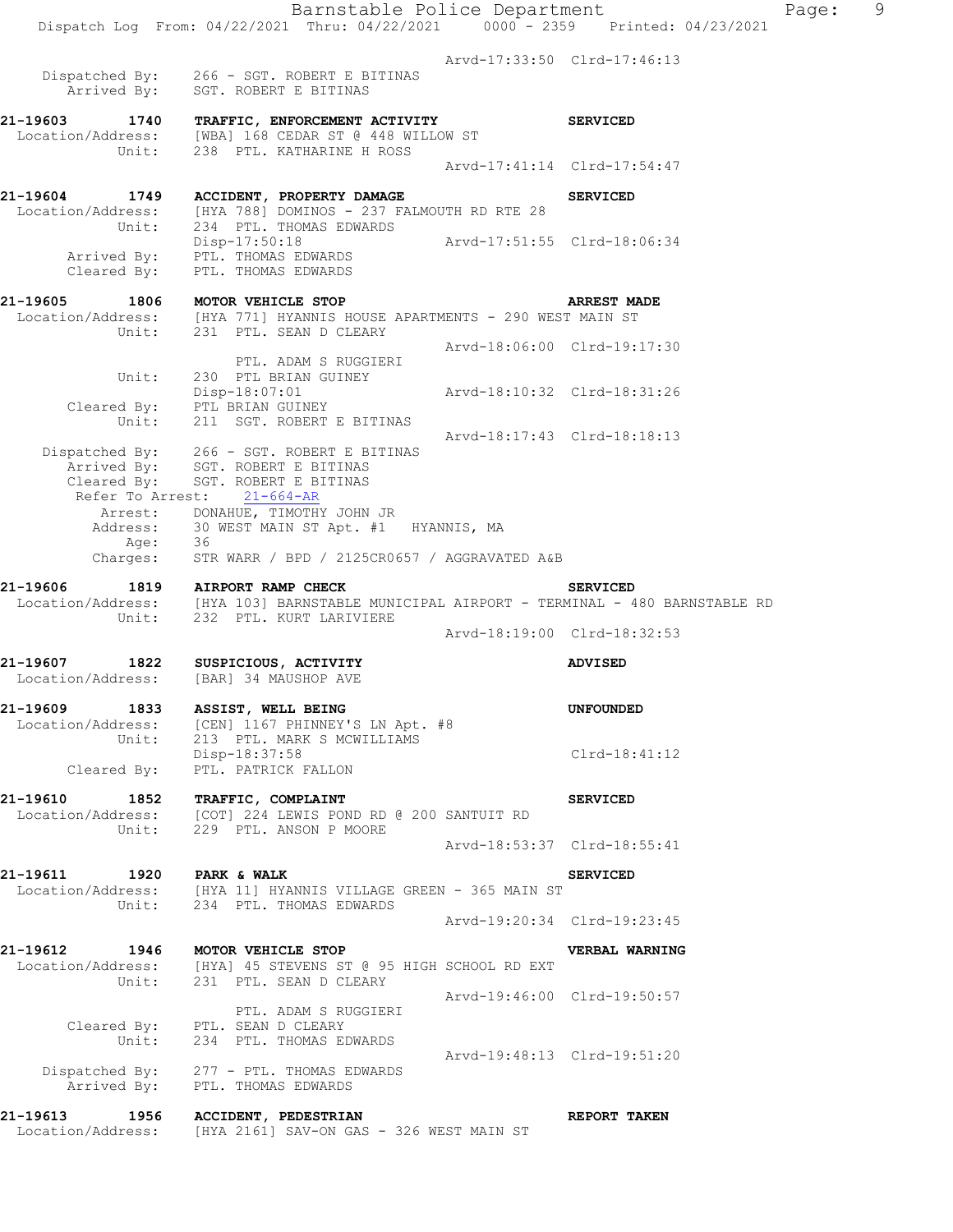Barnstable Police Department Page: 9 Dispatch Log From: 04/22/2021 Thru: 04/22/2021 0000 - 2359 Printed: 04/23/2021 Arvd-17:33:50 Clrd-17:46:13 Dispatched By: 266 - SGT. ROBERT E BITINAS .<br>Arrived By: SGT. ROBERT E BITINAS **21-19603 1740 TRAFFIC, ENFORCEMENT ACTIVITY SERVICED**  Location/Address: [WBA] 168 CEDAR ST @ 448 WILLOW ST Unit: 238 PTL. KATHARINE H ROSS Arvd-17:41:14 Clrd-17:54:47 **21-19604 1749 ACCIDENT, PROPERTY DAMAGE SERVICED**  Location/Address: [HYA 788] DOMINOS - 237 FALMOUTH RD RTE 28 Unit: 234 PTL. THOMAS EDWARDS Disp-17:50:18 Arvd-17:51:55 Clrd-18:06:34 Arrived By: PTL. THOMAS EDWARDS Cleared By: PTL. THOMAS EDWARDS **21-19605 1806 MOTOR VEHICLE STOP ARREST MADE**  Location/Address: [HYA 771] HYANNIS HOUSE APARTMENTS - 290 WEST MAIN ST Unit: 231 PTL. SEAN D CLEARY Arvd-18:06:00 Clrd-19:17:30 PTL. ADAM S RUGGIERI Unit: 230 PTL BRIAN GUINEY Disp-18:07:01 Arvd-18:10:32 Clrd-18:31:26 Cleared By: PTL BRIAN GUINEY Unit: 211 SGT. ROBERT E BITINAS Arvd-18:17:43 Clrd-18:18:13 Dispatched By: 266 - SGT. ROBERT E BITINAS .<br>Arrived By: SGT. ROBERT E BITINAS Cleared By: SGT. ROBERT E BITINAS Refer To Arrest: 21-664-AR Arrest: DONAHUE, TIMOTHY JOHN JR Address: 30 WEST MAIN ST Apt. #1 HYANNIS, MA Age: 36 Charges: STR WARR / BPD / 2125CR0657 / AGGRAVATED A&B **21-19606 1819 AIRPORT RAMP CHECK SERVICED**  Location/Address: [HYA 103] BARNSTABLE MUNICIPAL AIRPORT - TERMINAL - 480 BARNSTABLE RD Unit: 232 PTL. KURT LARIVIERE Arvd-18:19:00 Clrd-18:32:53 **21-19607 1822 SUSPICIOUS, ACTIVITY ADVISED**  Location/Address: [BAR] 34 MAUSHOP AVE **21-19609 1833 ASSIST, WELL BEING UNFOUNDED**  Location/Address: [CEN] 1167 PHINNEY'S LN Apt. #8 Unit: 213 PTL. MARK S MCWILLIAMS Disp-18:37:58 Clrd-18:41:12 Disp-18:37:58<br>Cleared By: PTL. PATRICK FALLON **21-19610 1852 TRAFFIC, COMPLAINT SERVICED**  Location/Address: [COT] 224 LEWIS POND RD @ 200 SANTUIT RD Unit: 229 PTL. ANSON P MOORE Arvd-18:53:37 Clrd-18:55:41 **21-19611 1920 PARK & WALK SERVICED**  Location/Address: [HYA 11] HYANNIS VILLAGE GREEN - 365 MAIN ST Unit: 234 PTL. THOMAS EDWARDS Arvd-19:20:34 Clrd-19:23:45 **21-19612 1946 MOTOR VEHICLE STOP VERBAL WARNING**  Location/Address: [HYA] 45 STEVENS ST @ 95 HIGH SCHOOL RD EXT Unit: 231 PTL. SEAN D CLEARY Arvd-19:46:00 Clrd-19:50:57 PTL. ADAM S RUGGIERI Cleared By: PTL. SEAN D CLEARY Unit: 234 PTL. THOMAS EDWARDS Arvd-19:48:13 Clrd-19:51:20 Dispatched By: 277 - PTL. THOMAS EDWARDS Arrived By: PTL. THOMAS EDWARDS **21-19613 1956 ACCIDENT, PEDESTRIAN REPORT TAKEN** 

Location/Address: [HYA 2161] SAV-ON GAS - 326 WEST MAIN ST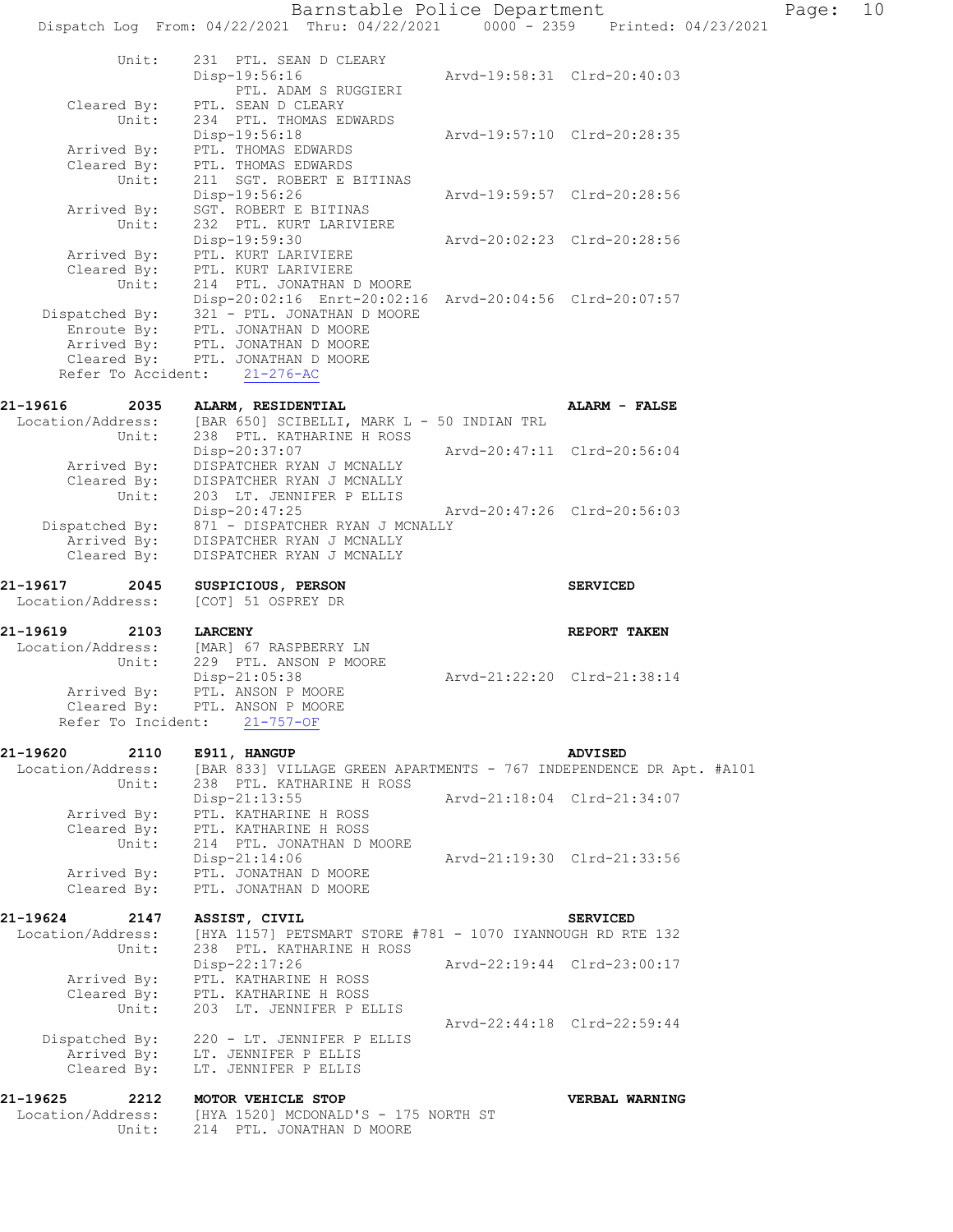| 21-19625<br>2212<br>Location/Address:<br>Unit: | MOTOR VEHICLE STOP<br>[HYA 1520] MCDONALD'S - 175 NORTH ST<br>214 PTL. JONATHAN D MOORE                                                                     |                             | VERBAL WARNING              |  |
|------------------------------------------------|-------------------------------------------------------------------------------------------------------------------------------------------------------------|-----------------------------|-----------------------------|--|
| Dispatched By:<br>Arrived By:<br>Cleared By:   | 220 - LT. JENNIFER P ELLIS<br>LT. JENNIFER P ELLIS<br>LT. JENNIFER P ELLIS                                                                                  |                             |                             |  |
| Unit:                                          | 203 LT. JENNIFER P ELLIS                                                                                                                                    |                             | Arvd-22:44:18 Clrd-22:59:44 |  |
| Arrived By:<br>Cleared By:                     | $Disp-22:17:26$<br>PTL. KATHARINE H ROSS<br>PTL. KATHARINE H ROSS                                                                                           |                             | Arvd-22:19:44 Clrd-23:00:17 |  |
| 21-19624<br>2147<br>Location/Address:<br>Unit: | ASSIST, CIVIL<br>[HYA 1157] PETSMART STORE #781 - 1070 IYANNOUGH RD RTE 132<br>238 PTL. KATHARINE H ROSS                                                    |                             | <b>SERVICED</b>             |  |
| Arrived By:<br>Cleared By:                     | Disp-21:14:06<br>PTL. JONATHAN D MOORE<br>PTL. JONATHAN D MOORE                                                                                             |                             | Arvd-21:19:30 Clrd-21:33:56 |  |
| Arrived By:<br>Cleared By:<br>Unit:            | PTL. KATHARINE H ROSS<br>PTL. KATHARINE H ROSS<br>214 PTL. JONATHAN D MOORE                                                                                 |                             |                             |  |
| Location/Address:<br>Unit:                     | [BAR 833] VILLAGE GREEN APARTMENTS - 767 INDEPENDENCE DR Apt. #A101<br>238 PTL. KATHARINE H ROSS<br>$Disp-21:13:55$                                         |                             | Arvd-21:18:04 Clrd-21:34:07 |  |
| Refer To Incident:<br>21-19620<br>2110         | $21 - 757 - OF$<br>E911, HANGUP                                                                                                                             |                             | <b>ADVISED</b>              |  |
| Unit:<br>Arrived By:                           | 229 PTL. ANSON P MOORE<br>Disp-21:05:38<br>PTL. ANSON P MOORE<br>Cleared By: PTL. ANSON P MOORE                                                             |                             | Arvd-21:22:20 Clrd-21:38:14 |  |
| 21-19619<br>2103<br>Location/Address:          | <b>LARCENY</b><br>[MAR] 67 RASPBERRY LN                                                                                                                     |                             | REPORT TAKEN                |  |
| 21-19617<br>2045<br>Location/Address:          | SUSPICIOUS, PERSON<br>[COT] 51 OSPREY DR                                                                                                                    |                             | <b>SERVICED</b>             |  |
| Arrived By:<br>Cleared By:                     | DISPATCHER RYAN J MCNALLY<br>DISPATCHER RYAN J MCNALLY                                                                                                      |                             |                             |  |
| Cleared By:<br>Unit:<br>Dispatched By:         | DISPATCHER RYAN J MCNALLY<br>203 LT. JENNIFER P ELLIS<br>$Disp-20:47:25$<br>871 - DISPATCHER RYAN J MCNALLY                                                 | Arvd-20:47:26 Clrd-20:56:03 |                             |  |
| Unit:<br>Arrived By:                           | 238 PTL. KATHARINE H ROSS<br>Disp-20:37:07<br>DISPATCHER RYAN J MCNALLY                                                                                     |                             | Arvd-20:47:11 Clrd-20:56:04 |  |
| 21-19616<br>2035<br>Location/Address:          | ALARM, RESIDENTIAL<br>[BAR 650] SCIBELLI, MARK L - 50 INDIAN TRL                                                                                            |                             | ALARM - FALSE               |  |
|                                                | Arrived By: PTL. JONATHAN D MOORE<br>Cleared By: PTL. JONATHAN D MOORE<br>Refer To Accident: 21-276-AC                                                      |                             |                             |  |
| Unit:<br>Enroute By:                           | 214 PTL. JONATHAN D MOORE<br>Disp-20:02:16 Enrt-20:02:16 Arvd-20:04:56 Clrd-20:07:57<br>Dispatched By: 321 - PTL. JONATHAN D MOORE<br>PTL. JONATHAN D MOORE |                             |                             |  |
| Arrived By:<br>Cleared By:                     | Disp-19:59:30<br>PTL. KURT LARIVIERE<br>PTL. KURT LARIVIERE                                                                                                 |                             | Arvd-20:02:23 Clrd-20:28:56 |  |
| Arrived By:<br>Unit:                           | Disp-19:56:26<br>SGT. ROBERT E BITINAS<br>232 PTL. KURT LARIVIERE                                                                                           |                             | Arvd-19:59:57 Clrd-20:28:56 |  |
| Arrived By:<br>Cleared By:<br>Unit:            | $Disp-19:56:18$<br>PTL. THOMAS EDWARDS<br>PTL. THOMAS EDWARDS<br>211 SGT. ROBERT E BITINAS                                                                  |                             |                             |  |
| Cleared By:<br>Unit:                           | PTL. ADAM S RUGGIERI<br>PTL. SEAN D CLEARY<br>234 PTL. THOMAS EDWARDS                                                                                       |                             | Arvd-19:57:10 Clrd-20:28:35 |  |
| Unit:                                          | 231 PTL. SEAN D CLEARY<br>Disp-19:56:16                                                                                                                     |                             | Arvd-19:58:31 Clrd-20:40:03 |  |
|                                                |                                                                                                                                                             |                             |                             |  |